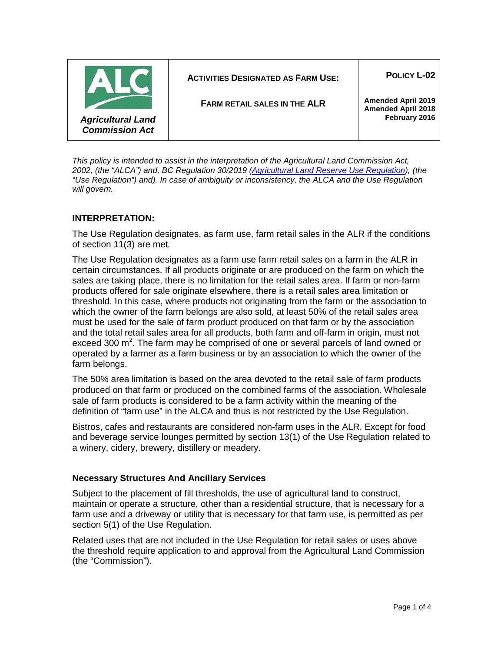

*This policy is intended to assist in the interpretation of the Agricultural Land Commission Act, 2002, (the "ALCA") and, BC Regulation 30/2019 [\(Agricultural Land Reserve Use Regulation\)](http://www.bclaws.ca/civix/document/id/complete/statreg/30_2019), (the "Use Regulation") and). In case of ambiguity or inconsistency, the ALCA and the Use Regulation will govern.*

# **INTERPRETATION:**

The Use Regulation designates, as farm use, farm retail sales in the ALR if the conditions of section 11(3) are met*.*

The Use Regulation designates as a farm use farm retail sales on a farm in the ALR in certain circumstances. If all products originate or are produced on the farm on which the sales are taking place, there is no limitation for the retail sales area. If farm or non-farm products offered for sale originate elsewhere, there is a retail sales area limitation or threshold. In this case, where products not originating from the farm or the association to which the owner of the farm belongs are also sold, at least 50% of the retail sales area must be used for the sale of farm product produced on that farm or by the association and the total retail sales area for all products, both farm and off-farm in origin, must not exceed 300 m<sup>2</sup>. The farm may be comprised of one or several parcels of land owned or operated by a farmer as a farm business or by an association to which the owner of the farm belongs.

The 50% area limitation is based on the area devoted to the retail sale of farm products produced on that farm or produced on the combined farms of the association. Wholesale sale of farm products is considered to be a farm activity within the meaning of the definition of "farm use" in the ALCA and thus is not restricted by the Use Regulation.

Bistros, cafes and restaurants are considered non-farm uses in the ALR. Except for food and beverage service lounges permitted by section 13(1) of the Use Regulation related to a winery, cidery, brewery, distillery or meadery.

## **Necessary Structures And Ancillary Services**

Subject to the placement of fill thresholds, the use of agricultural land to construct, maintain or operate a structure, other than a residential structure, that is necessary for a farm use and a driveway or utility that is necessary for that farm use, is permitted as per section 5(1) of the Use Regulation.

Related uses that are not included in the Use Regulation for retail sales or uses above the threshold require application to and approval from the Agricultural Land Commission (the "Commission").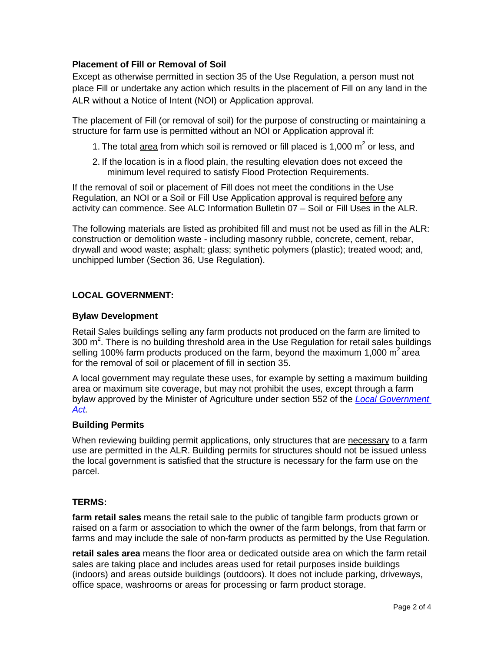# **Placement of Fill or Removal of Soil**

Except as otherwise permitted in section 35 of the Use Regulation, a person must not place Fill or undertake any action which results in the placement of Fill on any land in the ALR without a Notice of Intent (NOI) or Application approval.

The placement of Fill (or removal of soil) for the purpose of constructing or maintaining a structure for farm use is permitted without an NOI or Application approval if:

- 1. The total area from which soil is removed or fill placed is 1,000  $m<sup>2</sup>$  or less, and
- 2. If the location is in a flood plain, the resulting elevation does not exceed the minimum level required to satisfy Flood Protection Requirements.

If the removal of soil or placement of Fill does not meet the conditions in the Use Regulation, an NOI or a Soil or Fill Use Application approval is required before any activity can commence. See ALC Information Bulletin 07 – Soil or Fill Uses in the ALR.

The following materials are listed as prohibited fill and must not be used as fill in the ALR: construction or demolition waste - including masonry rubble, concrete, cement, rebar, drywall and wood waste; asphalt; glass; synthetic polymers (plastic); treated wood; and, unchipped lumber (Section 36, Use Regulation).

# **LOCAL GOVERNMENT:**

## **Bylaw Development**

Retail Sales buildings selling any farm products not produced on the farm are limited to 300  $\text{m}^2$ . There is no building threshold area in the Use Regulation for retail sales buildings selling 100% farm products produced on the farm, beyond the maximum 1,000  $\text{m}^2$  area for the removal of soil or placement of fill in section 35.

A local government may regulate these uses, for example by setting a maximum building area or maximum site coverage, but may not prohibit the uses, except through a farm bylaw approved by the Minister of Agriculture under section 552 of the *[Local Government](http://www.bclaws.ca/civix/document/id/complete/statreg/r15001_00)  [Act.](http://www.bclaws.ca/civix/document/id/complete/statreg/r15001_00)*

## **Building Permits**

When reviewing building permit applications, only structures that are necessary to a farm use are permitted in the ALR. Building permits for structures should not be issued unless the local government is satisfied that the structure is necessary for the farm use on the parcel.

### **TERMS:**

**farm retail sales** means the retail sale to the public of tangible farm products grown or raised on a farm or association to which the owner of the farm belongs, from that farm or farms and may include the sale of non-farm products as permitted by the Use Regulation.

**retail sales area** means the floor area or dedicated outside area on which the farm retail sales are taking place and includes areas used for retail purposes inside buildings (indoors) and areas outside buildings (outdoors). It does not include parking, driveways, office space, washrooms or areas for processing or farm product storage.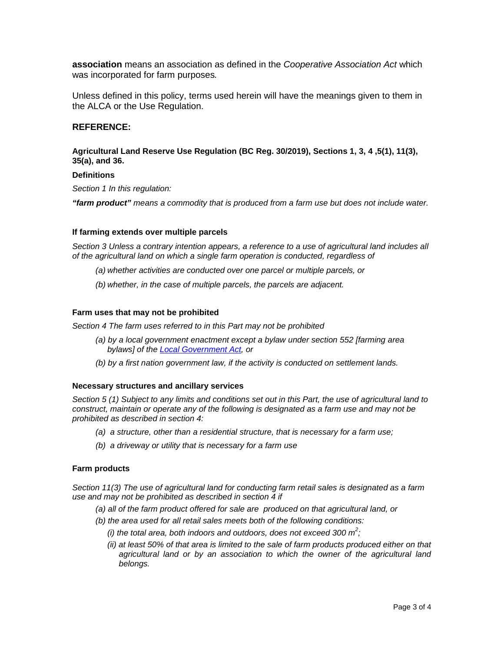**association** means an association as defined in the *Cooperative Association Act* which was incorporated for farm purposes*.*

Unless defined in this policy, terms used herein will have the meanings given to them in the ALCA or the Use Regulation.

### **REFERENCE:**

#### **Agricultural Land Reserve Use Regulation (BC Reg. 30/2019), Sections 1, 3, 4 ,5(1), 11(3), 35(a), and 36.**

#### **Definitions**

*Section 1 In this regulation:*

*"farm product" means a commodity that is produced from a farm use but does not include water.* 

#### **If farming extends over multiple parcels**

*Section 3 Unless a contrary intention appears, a reference to a use of agricultural land includes all of the agricultural land on which a single farm operation is conducted, regardless of*

*(a) whether activities are conducted over one parcel or multiple parcels, or*

*(b) whether, in the case of multiple parcels, the parcels are adjacent.*

#### **Farm uses that may not be prohibited**

*Section 4 The farm uses referred to in this Part may not be prohibited*

- *(a) by a local government enactment except a bylaw under section 552 [farming area bylaws] of the [Local Government Act,](http://www.bclaws.ca/civix/document/id/complete/statreg/96323_00) or*
- *(b) by a first nation government law, if the activity is conducted on settlement lands.*

#### **Necessary structures and ancillary services**

*Section 5 (1) Subject to any limits and conditions set out in this Part, the use of agricultural land to construct, maintain or operate any of the following is designated as a farm use and may not be prohibited as described in section 4:*

- *(a) a structure, other than a residential structure, that is necessary for a farm use;*
- *(b) a driveway or utility that is necessary for a farm use*

#### **Farm products**

*Section 11(3) The use of agricultural land for conducting farm retail sales is designated as a farm use and may not be prohibited as described in section 4 if*

- *(a) all of the farm product offered for sale are produced on that agricultural land, or*
- *(b) the area used for all retail sales meets both of the following conditions:*
	- (*i*) the total area, both indoors and outdoors, does not exceed 300  $m^2$ ;
	- *(ii) at least 50% of that area is limited to the sale of farm products produced either on that agricultural land or by an association to which the owner of the agricultural land belongs.*